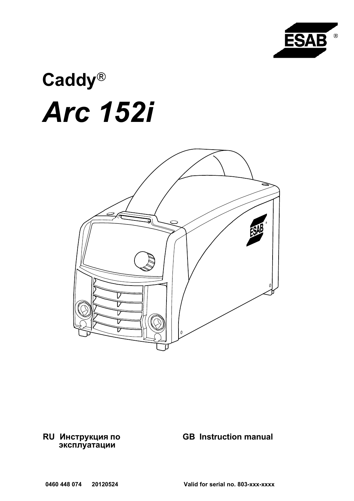

# Caddy® Arc 152i



RU Инструкция по эксплуатации

# GB Instruction manual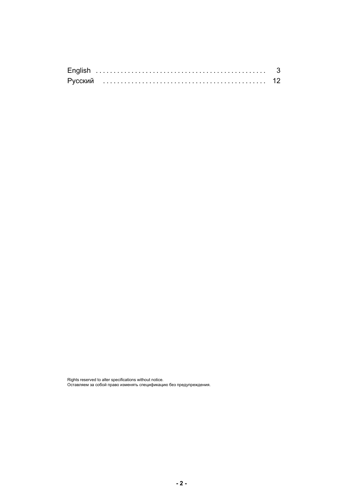| Русский |  |
|---------|--|

Rights reserved to alter specifications without notice. Оставляем за собой право изменять спецификацию без предупреждения.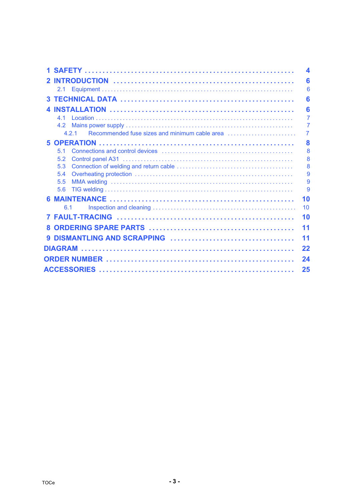<span id="page-2-0"></span>

|    |            | 4      |
|----|------------|--------|
|    |            | 6      |
|    | 2.1        | 6      |
|    |            | 6      |
|    |            | 6      |
|    | 41         | 7      |
|    | 4.2        | 7      |
|    | 4 2 1      | 7      |
|    |            | 8      |
|    | 51         | 8      |
|    | 5.2        | 8      |
|    | 5.3        | 8      |
|    | 5.4        | 9      |
|    | 5.5<br>5.6 | 9<br>9 |
|    |            |        |
|    |            | 10     |
|    | 6.1        | 10     |
|    |            | 10     |
| 8. |            | 11     |
|    |            | 11     |
|    |            | 22     |
|    |            | 24     |
|    |            |        |
|    |            | 25     |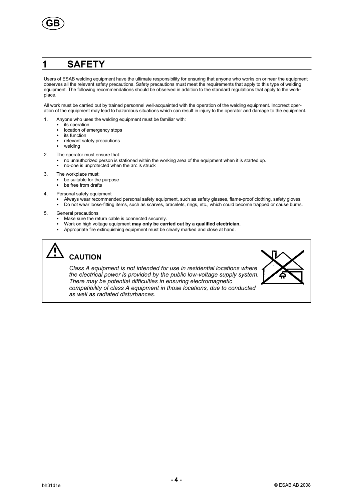<span id="page-3-0"></span>

# 1 SAFETY

Users of ESAB welding equipment have the ultimate responsibility for ensuring that anyone who works on or near the equipment observes all the relevant safety precautions. Safety precautions must meet the requirements that apply to this type of welding equipment. The following recommendations should be observed in addition to the standard regulations that apply to the workplace.

All work must be carried out by trained personnel well-acquainted with the operation of the welding equipment. Incorrect operation of the equipment may lead to hazardous situations which can result in injury to the operator and damage to the equipment.

- 1. Anyone who uses the welding equipment must be familiar with:
	- its operation
	- location of emergency stops
	- its function
	- relevant safety precautions
	- welding
- 2. The operator must ensure that:
	- no unauthorized person is stationed within the working area of the equipment when it is started up. no-one is unprotected when the arc is struck
- 3. The workplace must:
	- be suitable for the purpose
	- be free from drafts
- 4. Personal safety equipment
	- -Always wear recommended personal safety equipment, such as safety glasses, flame-proof clothing, safety gloves.
	- -Do not wear loose-fitting items, such as scarves, bracelets, rings, etc., which could become trapped or cause burns.
- 5. General precautions
	- -Make sure the return cable is connected securely.
	- -Work on high voltage equipment may only be carried out by a qualified electrician.
	- -Appropriate fire extinquishing equipment must be clearly marked and close at hand.

# **CAUTION**

Class A equipment is not intended for use in residential locations where the electrical power is provided by the public low-voltage supply system. There may be potential difficulties in ensuring electromagnetic compatibility of class A equipment in those locations, due to conducted as well as radiated disturbances.

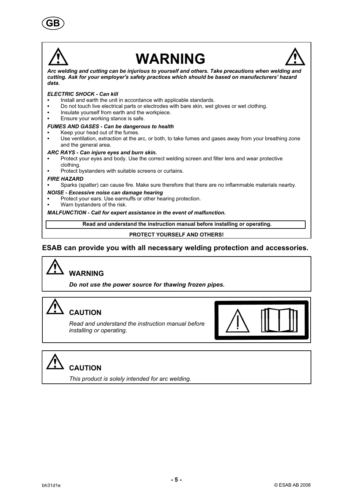



# WARNING



Arc welding and cutting can be injurious to yourself and others. Take precautions when welding and cutting. Ask for your employer's safety practices which should be based on manufacturers' hazard data.

### ELECTRIC SHOCK - Can kill

- -Install and earth the unit in accordance with applicable standards.
- -Do not touch live electrical parts or electrodes with bare skin, wet gloves or wet clothing.
- $\bullet$ Insulate yourself from earth and the workpiece.
- -Ensure your working stance is safe.

### FUMES AND GASES - Can be dangerous to health

- -Keep your head out of the fumes.
- - Use ventilation, extraction at the arc, or both, to take fumes and gases away from your breathing zone and the general area.

### ARC RAYS - Can injure eyes and burn skin.

- - Protect your eyes and body. Use the correct welding screen and filter lens and wear protective clothing.
- -Protect bystanders with suitable screens or curtains.

### FIRE HAZARD

-Sparks (spatter) can cause fire. Make sure therefore that there are no inflammable materials nearby.

### NOISE - Excessive noise can damage hearing

- -Protect your ears. Use earmuffs or other hearing protection.
- -Warn bystanders of the risk.

### MALFUNCTION - Call for expert assistance in the event of malfunction.

Read and understand the instruction manual before installing or operating.

### PROTECT YOURSELF AND OTHERS!

### ESAB can provide you with all necessary welding protection and accessories.



Do not use the power source for thawing frozen pipes.



# **CAUTION**

Read and understand the instruction manual before installing or operating.



# CAUTION

This product is solely intended for arc welding.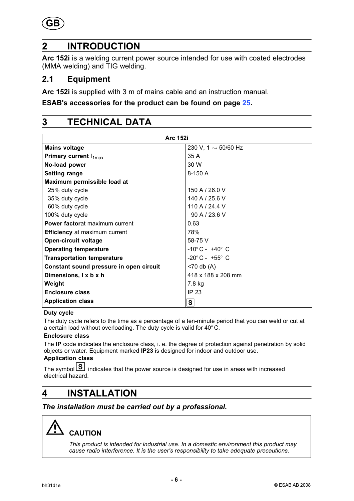<span id="page-5-0"></span>

# 2 INTRODUCTION

Arc 152i is a welding current power source intended for use with coated electrodes (MMA welding) and TIG welding.

### 2.1 Equipment

Arc 152i is supplied with 3 m of mains cable and an instruction manual.

### ESAB's accessories for the product can be found on page [25](#page-24-0).

# 3 TECHNICAL DATA

| <b>Arc 152i</b>                         |                                   |  |
|-----------------------------------------|-----------------------------------|--|
| <b>Mains voltage</b>                    | 230 V, 1 $\sim$ 50/60 Hz          |  |
| Primary current $I_{1max}$              | 35A                               |  |
| No-load power                           | 30 W                              |  |
| <b>Setting range</b>                    | $8-150A$                          |  |
| Maximum permissible load at             |                                   |  |
| 25% duty cycle                          | 150 A / 26.0 V                    |  |
| 35% duty cycle                          | 140 A / 25.6 V                    |  |
| 60% duty cycle                          | 110 A / 24.4 V                    |  |
| 100% duty cycle                         | 90 A / 23.6 V                     |  |
| <b>Power factorat maximum current</b>   | 0.63                              |  |
| <b>Efficiency</b> at maximum current    | 78%                               |  |
| <b>Open-circuit voltage</b>             | 58-75 V                           |  |
| <b>Operating temperature</b>            | $-10^{\circ}$ C - $+40^{\circ}$ C |  |
| <b>Transportation temperature</b>       | $-20^{\circ}$ C - $+55^{\circ}$ C |  |
| Constant sound pressure in open circuit | $<$ 70 db (A)                     |  |
| Dimensions, I x b x h                   | 418 x 188 x 208 mm                |  |
| Weight                                  | 7.8 kg                            |  |
| <b>Enclosure class</b>                  | IP 23                             |  |
| <b>Application class</b>                | S                                 |  |

### Duty cycle

The duty cycle refers to the time as a percentage of a ten-minute period that you can weld or cut at a certain load without overloading. The duty cycle is valid for 40° C.

### Enclosure class

The IP code indicates the enclosure class, i. e. the degree of protection against penetration by solid objects or water. Equipment marked IP23 is designed for indoor and outdoor use.

# Application class

The symbol  $\boxed{S}$  indicates that the power source is designed for use in areas with increased electrical hazard.

# 4 INSTALLATION

The installation must be carried out by a professional.



This product is intended for industrial use. In a domestic environment this product may cause radio interference. It is the user's responsibility to take adequate precautions.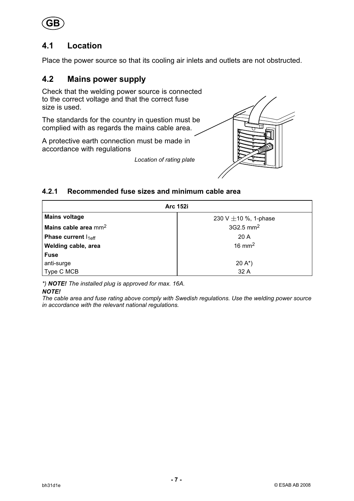<span id="page-6-0"></span>

# 4.1 Location

Place the power source so that its cooling air inlets and outlets are not obstructed.

# 4.2 Mains power supply

Check that the welding power source is connected to the correct voltage and that the correct fuse size is used.

The standards for the country in question must be complied with as regards the mains cable area.

A protective earth connection must be made in accordance with regulations

Location of rating plate



### 4.2.1 Recommended fuse sizes and minimum cable area

| <b>Arc 152i</b>                  |                           |  |
|----------------------------------|---------------------------|--|
| <b>Mains voltage</b>             | 230 V $\pm$ 10 %, 1-phase |  |
| Mains cable area $mm2$           | 3G2.5 mm <sup>2</sup>     |  |
| Phase current $I_{1 \text{eff}}$ | 20 A                      |  |
| Welding cable, area              | $16 \text{ mm}^2$         |  |
| <b>Fuse</b>                      |                           |  |
| anti-surge                       | $20 A^*$                  |  |
| Type C MCB                       | 32 A                      |  |

\*) NOTE! The installed plug is approved for max. 16A.

### NOTE!

The cable area and fuse rating above comply with Swedish regulations. Use the welding power source in accordance with the relevant national regulations.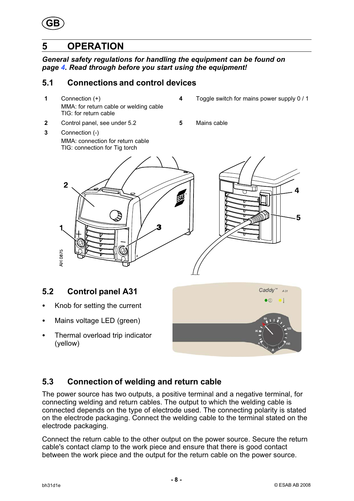<span id="page-7-0"></span>

# 5 OPERATION

3 Connection (-)

General safety regulations for handling the equipment can be found on page [4](#page-3-0). Read through before you start using the equipment!

# 5.1 Connections and control devices

1 Connection (+) MMA: for return cable or welding cable TIG: for return cable

MMA: connection for return cable

- 4 Toggle switch for mains power supply 0 / 1
- 2 Control panel, see under 5.2 5 Mains cable
	- TIG: connection for Tig torch  $\overline{2}$ 5 AH 0875

# 5.2 Control panel A31

- -Knob for setting the current
- -Mains voltage LED (green)
- - Thermal overload trip indicator (yellow)



# 5.3 Connection of welding and return cable

The power source has two outputs, a positive terminal and a negative terminal, for connecting welding and return cables. The output to which the welding cable is connected depends on the type of electrode used. The connecting polarity is stated on the electrode packaging. Connect the welding cable to the terminal stated on the electrode packaging.

Connect the return cable to the other output on the power source. Secure the return cable's contact clamp to the work piece and ensure that there is good contact between the work piece and the output for the return cable on the power source.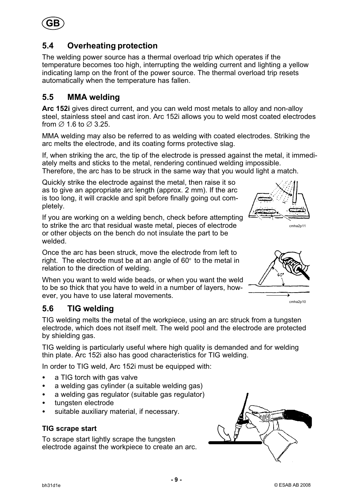<span id="page-8-0"></span>

# 5.4 Overheating protection

The welding power source has a thermal overload trip which operates if the temperature becomes too high, interrupting the welding current and lighting a yellow indicating lamp on the front of the power source. The thermal overload trip resets automatically when the temperature has fallen.

# 5.5 MMA welding

Arc 152i gives direct current, and you can weld most metals to alloy and non-alloy steel, stainless steel and cast iron. Arc 152i allows you to weld most coated electrodes from  $\varnothing$  1.6 to  $\varnothing$  3.25.

MMA welding may also be referred to as welding with coated electrodes. Striking the arc melts the electrode, and its coating forms protective slag.

If, when striking the arc, the tip of the electrode is pressed against the metal, it immediately melts and sticks to the metal, rendering continued welding impossible.

Therefore, the arc has to be struck in the same way that you would light a match.

Quickly strike the electrode against the metal, then raise it so as to give an appropriate arc length (approx. 2 mm). If the arc is too long, it will crackle and spit before finally going out completely.

If you are working on a welding bench, check before attempting to strike the arc that residual waste metal, pieces of electrode or other objects on the bench do not insulate the part to be welded.

Once the arc has been struck, move the electrode from left to right. The electrode must be at an angle of 60° to the metal in relation to the direction of welding.

When you want to weld wide beads, or when you want the weld to be so thick that you have to weld in a number of layers, however, you have to use lateral movements.

# 5.6 TIG welding

TIG welding melts the metal of the workpiece, using an arc struck from a tungsten electrode, which does not itself melt. The weld pool and the electrode are protected by shielding gas.

TIG welding is particularly useful where high quality is demanded and for welding thin plate. Arc 152i also has good characteristics for TIG welding.

In order to TIG weld, Arc 152i must be equipped with:

- $\bullet$ a TIG torch with gas valve
- $\bullet$ a welding gas cylinder (a suitable welding gas)
- $\bullet$ a welding gas regulator (suitable gas regulator)
- tungsten electrode
- suitable auxiliary material, if necessary.

### TIG scrape start

To scrape start lightly scrape the tungsten electrode against the workpiece to create an arc.







cmha2p10

cmha2p11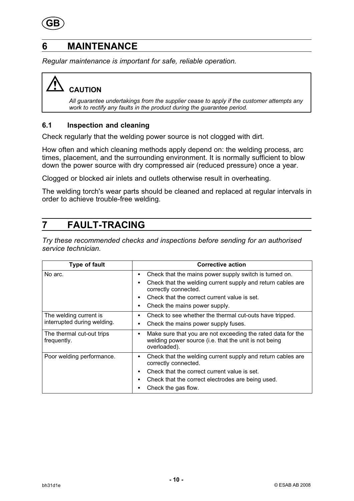<span id="page-9-0"></span>

# 6 MAINTENANCE

Regular maintenance is important for safe, reliable operation.

# CAUTION

All guarantee undertakings from the supplier cease to apply if the customer attempts any work to rectify any faults in the product during the guarantee period.

### 6.1 Inspection and cleaning

Check regularly that the welding power source is not clogged with dirt.

How often and which cleaning methods apply depend on: the welding process, arc times, placement, and the surrounding environment. It is normally sufficient to blow down the power source with dry compressed air (reduced pressure) once a year.

Clogged or blocked air inlets and outlets otherwise result in overheating.

The welding torch's wear parts should be cleaned and replaced at regular intervals in order to achieve trouble-free welding.

# 7 FAULT-TRACING

Try these recommended checks and inspections before sending for an authorised service technician.

| <b>Type of fault</b>                                  | <b>Corrective action</b>                                                                                                                                                                                                            |
|-------------------------------------------------------|-------------------------------------------------------------------------------------------------------------------------------------------------------------------------------------------------------------------------------------|
| No arc.                                               | Check that the mains power supply switch is turned on.<br>٠<br>Check that the welding current supply and return cables are<br>correctly connected.<br>Check that the correct current value is set.<br>Check the mains power supply. |
| The welding current is<br>interrupted during welding. | Check to see whether the thermal cut-outs have tripped.<br>٠<br>Check the mains power supply fuses.                                                                                                                                 |
| The thermal cut-out trips<br>frequently.              | Make sure that you are not exceeding the rated data for the<br>$\bullet$<br>welding power source (i.e. that the unit is not being<br>overloaded).                                                                                   |
| Poor welding performance.                             | Check that the welding current supply and return cables are<br>٠<br>correctly connected.<br>Check that the correct current value is set.<br>Check that the correct electrodes are being used.<br>Check the gas flow.                |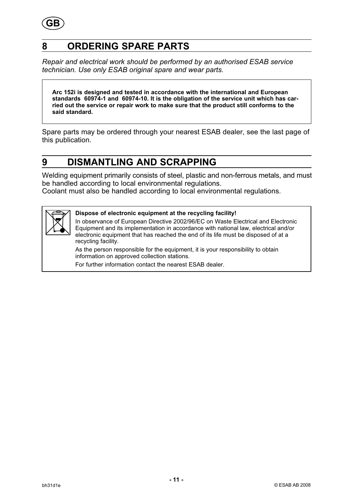<span id="page-10-0"></span>

# 8 ORDERING SPARE PARTS

Repair and electrical work should be performed by an authorised ESAB service technician. Use only ESAB original spare and wear parts.

Arc 152i is designed and tested in accordance with the international and European standards 60974-1 and 60974-10. It is the obligation of the service unit which has carried out the service or repair work to make sure that the product still conforms to the said standard.

Spare parts may be ordered through your nearest ESAB dealer, see the last page of this publication.

# 9 DISMANTLING AND SCRAPPING

Welding equipment primarily consists of steel, plastic and non-ferrous metals, and must be handled according to local environmental regulations.

Coolant must also be handled according to local environmental regulations.



### Dispose of electronic equipment at the recycling facility!

In observance of European Directive 2002/96/EC on Waste Electrical and Electronic Equipment and its implementation in accordance with national law, electrical and/or electronic equipment that has reached the end of its life must be disposed of at a recycling facility.

As the person responsible for the equipment, it is your responsibility to obtain information on approved collection stations.

For further information contact the nearest ESAB dealer.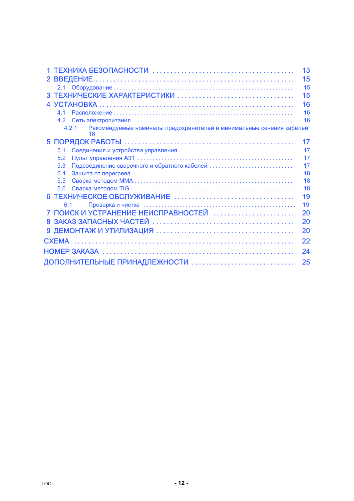<span id="page-11-0"></span>

|                                                                                     | 13 |
|-------------------------------------------------------------------------------------|----|
| 2 <sup>1</sup>                                                                      | 15 |
|                                                                                     | 15 |
|                                                                                     | 15 |
|                                                                                     | 16 |
| 41                                                                                  | 16 |
| 4.2                                                                                 | 16 |
| Рекомендуемые номиналы предохранителей и минимальные сечения кабелей<br>4.2.1<br>16 |    |
|                                                                                     | 17 |
| 5.1                                                                                 | 17 |
| 5.2                                                                                 | 17 |
| Подсоединение сварочного и обратного кабелей<br>5.3                                 | 17 |
| 5.4                                                                                 | 18 |
| 5.5                                                                                 | 18 |
| 5.6                                                                                 | 18 |
|                                                                                     | 19 |
| 6.1                                                                                 | 19 |
| ПОИСК И УСТРАНЕНИЕ НЕИСПРАВНОСТЕЙ                                                   | 20 |
|                                                                                     | 20 |
|                                                                                     | 20 |
|                                                                                     | 22 |
|                                                                                     | 24 |
|                                                                                     | 25 |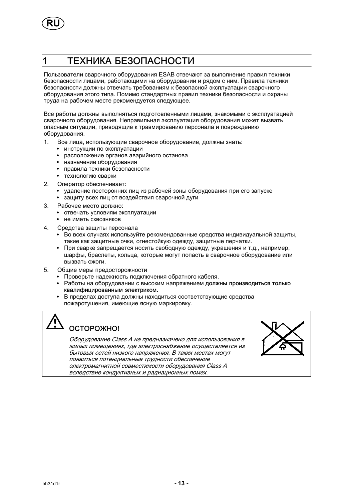<span id="page-12-0"></span>

# 1 ТЕХНИКА БЕЗОПАСНОСТИ

Пользователи сварочного оборудования ESAB отвечают за выполнение правил техники безопасности лицами, работающими на оборудовании и рядом с ним. Правила техники безопасности должны отвечать требованиям к безопасной эксплуатации сварочного оборудования этого типа. Помимо стандартных правил техники безопасности и охраны труда на рабочем месте рекомендуется следующее.

Все работы должны выполняться подготовленными лицами, знакомыми с эксплуатацией сварочного оборудования. Неправильная эксплуатация оборудования может вызвать опасным ситуации, приводящие к травмированию персонала и повреждению оборудования.

- 1. Bсе лица, использующие сварочное оборудование, должны знать:
	- инструкции по эксплуатации
	- расположение органов аварийного останова
	- назначение оборудования
	- правила техники безопасности
	- технологию сварки
- 2. Оператор обеспечивает:
	- удаление посторонних лиц из рабочей зоны оборудования при его запуске
	- защиту всех лиц от воздействия сварочной дуги
- 3. Рабочее место должно:
	- отвечать условиям эксплуатации
	- не иметь сквозняков
- 4. Средства защиты персонала
	- Во всех случаях используйте рекомендованные средства индивидуальной защиты, такие как защитные очки, огнестойкую одежду, защитные перчатки.
	- При сварке запрещается носить свободную одежду, украшения и т.д., например, шарфы, браслеты, кольца, которые могут попасть в сварочное оборудование или вызвать ожоги.
- 5. Общие меры предосторожности
	- Проверьте надежность подключения обратного кабеля.
	- - Работы на оборудовании с высоким напряжением должны производиться только квалифицированным электриком.
	- - В пределах доступа должны находиться соответствующие средства пожаротушения, имеющие ясную маркировку.

# ОСТОРОЖНО!

Оборудование Class А не предназначено для использования в жилых помещениях, где электроснабжение осуществляется из бытовых сетей низкого напряжения. В таких местах могут появиться потенциальные трудности обеспечение электромагнитной совместимости оборудования Class А вследствие кондуктивных и радиационных помех.

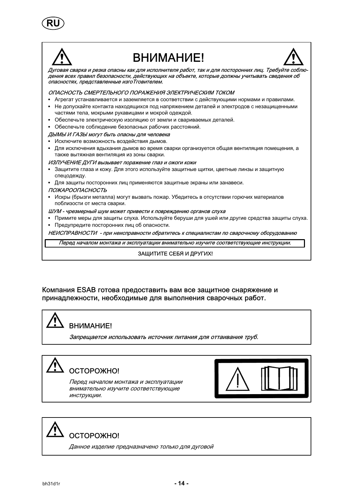



# **BHUMAHUFI**



Дуговая сварка и резка опасны как для исполнителя работ, так и для посторонних лиц. Требуйте соблюдения всех правил безопасности, действующих на объекте, которые должны учитывать сведения об опасностях, представленные изго Тговителем.

ОПАСНОСТЬ СМЕРТЕЛЬНОГО ПОРАЖЕНИЯ ЭЛЕКТРИЧЕСКИМ ТОКОМ

- Агрегат устанавливается и заземляется в соответствии с действующими нормами и правилами.
- Не допускайте контакта находящихся под напряжением деталей и электродов с незащищенными частями тела, мокрыми рукавицами и мокрой одеждой.
- Обеспечьте электрическую изоляцию от земли и свариваемых деталей.
- Обеспечьте соблюдение безопасных рабочих расстояний.

ДЫМЫ И ГАЗЫ могут быть опасны для человека

- Исключите возможность воздействия дымов.
- Для исключения вдыхания дымов во время сварки организуется общая вентиляция помещения, а также вытяжная вентиляция из зоны сварки.

ИЗЛУЧЕНИЕ ДУГИ вызывает поражение глаз и ожоги кожи

- Защитите глаза и кожу. Для этого используйте защитные щитки, цветные линзы и защитную спецодежду.
- Для защиты посторонних лиц применяются защитные экраны или занавеси.

### **ПОЖАРООПАСНОСТЬ**

- Искры (брызги металла) могут вызвать пожар. Убедитесь в отсутствии горючих материалов поблизости от места сварки.
- ШУМ чрезмерный шум может привести к повреждению органов слуха
- Примите меры для защиты слуха. Используйте беруши для ушей или другие средства защиты слуха.
- Предупредите посторонних лиц об опасности.

НЕИСПРАВНОСТИ - при неисправности обратитесь к специалистам по сварочному оборудованию

Перед началом монтажа и эксплуатации внимательно изучите соответствующие инструкции.

### ЗАЩИТИТЕ СЕБЯ И ДРУГИХ!

### Компания ESAB готова предоставить вам все защитное снаряжение и принадлежности, необходимые для выполнения сварочных работ.

# ВНИМАНИЕ!

Запрещается использовать источник питания для оттаивания труб.



Перед началом монтажа и эксплуатации внимательно изучите соответствующие ИНСТРУКЦИИ.



OCTOPOЖНО!

Данное изделие предназначено только для дуговой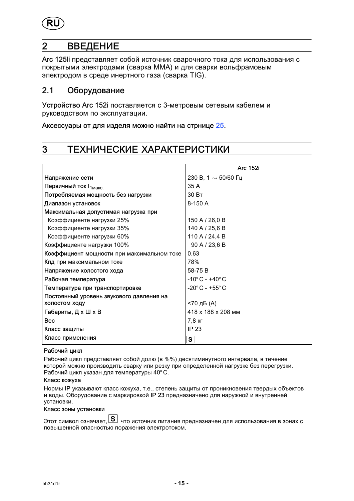<span id="page-14-0"></span>

# 2 ВВЕДЕНИЕ

Arc 125li представляет собой источник сварочного тока для использования с покрытыми электродами (сварка ММА) и для сварки вольфрамовым электродом в среде инертного газа (сварка TIG).

### 2.1 Оборудование

Устройство Arc 152i поставляется с 3-метровым сетевым кабелем и руководством по эксплуатации.

Аксессуары от для изделя можно найти на стрнице [25.](#page-24-0)

# 3 ТЕХНИЧЕСКИЕ ХАРАКТЕРИСТИКИ

|                                            | <b>Arc 152i</b>                   |
|--------------------------------------------|-----------------------------------|
| Напряжение сети                            | 230 В, 1 $\sim$ 50/60 Гц          |
| Первичный ток $I_{1MARC.}$                 | 35 A                              |
| Потребляемая мощность без нагрузки         | 30 BT                             |
| Диапазон установок                         | 8-150 A                           |
| Максимальная допустимая нагрузка при       |                                   |
| Коэффициенте нагрузки 25%                  | 150 A / 26,0 B                    |
| Коэффициенте нагрузки 35%                  | 140 A / 25,6 B                    |
| Коэффициенте нагрузки 60%                  | 110 A / 24,4 B                    |
| Коэффициенте нагрузки 100%                 | 90 A / 23,6 B                     |
| Коэффициент мощности при максимальном токе | 0.63                              |
| Кпд при максимальном токе                  | 78%                               |
| Напряжение холостого хода                  | 58-75B                            |
| Рабочая температура                        | $-10^{\circ}$ C - $+40^{\circ}$ C |
| Температура при транспортировке            | $-20^{\circ}$ C - $+55^{\circ}$ C |
| Постоянный уровень звукового давления на   |                                   |
| холостом ходу                              | <70 дБ (A)                        |
| Габариты, Д х Ш х В                        | 418 x 188 x 208 MM                |
| <b>Bec</b>                                 | 7,8 кг                            |
| Класс защиты                               | IP 23                             |
| Класс применения                           | $\mathbf{s}$                      |

### Рабочий цикл

Рабочий цикл представляет собой долю (в %%) десятиминутного интервала, в течение которой можно производить сварку или резку при определенной нагрузке без перегрузки. Рабочий цикл указан для температуры 40° C.

Класс кожуха

Нормы IP указывают класс кожуха, т.е., степень защиты от проникновения твердых объектов и воды. Оборудование с маркировкой IP 23 предназначено для наружной и внутренней установки.

Класс зоны установки

Этот символ означает,  $\boxed{S}$  что источник питания предназначен для использования в зонах с повышенной опасностью поражения электротоком.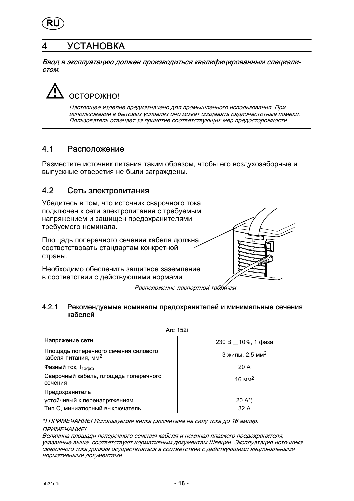<span id="page-15-0"></span>

# 4 УСТАНОВКА

Ввод в эксплуатацию должен производиться квалифицированным специалистом.



# ОСТОРОЖНО!

Настоящее изделие предназначено для промышленного использования. При использовании в бытовых условиях оно может создавать радиочастотные помехи. Пользователь отвечает за принятие соответствующих мер предосторожности.

# 4.1 Расположение

Разместите источник питания таким образом, чтобы его воздухозаборные и выпускные отверстия не были заграждены.

# 4.2 Сеть электропитания

Убедитесь в том, что источник сварочного тока подключен к сети электропитания с требуемым напряжением и защищен предохранителями требуемого номинала.

Площадь поперечного сечения кабеля должна соответствовать стандартам конкретной страны.

Необходимо обеспечить защитное заземление в соответствии с действующими нормами



Расположение паспортной таблички

### 4.2.1 Рекомендуемые номиналы предохранителей и минимальные сечения кабелей

| Arc 152i                                                                |                             |  |
|-------------------------------------------------------------------------|-----------------------------|--|
| Напряжение сети                                                         | 230 B $\pm$ 10%, 1 фаза     |  |
| Площадь поперечного сечения силового<br>кабеля питания, мм <sup>2</sup> | 3 жилы, 2,5 мм <sup>2</sup> |  |
| Фазный ток, $I_{1300}$                                                  | 20A                         |  |
| Сварочный кабель, площадь поперечного<br>сечения                        | $16 \text{ mm}^2$           |  |
| Предохранитель                                                          |                             |  |
| устойчивый к перенапряжениям                                            | $20 A^*$                    |  |
| Тип С, миниатюрный выключатель                                          | 32 A                        |  |

\*) ПРИМЕЧАНИЕ! Используемая вилка рассчитана на силу тока до 16 ампер.

### ПРИМЕЧАНИЕ!

Величина площади поперечного сечения кабеля и номинал плавкого предохранителя, указанные выше, соответствуют нормативным документам Швеции. Эксплуатация источника сварочного тока должна осуществляться в соответствии с действующими национальными нормативными документами.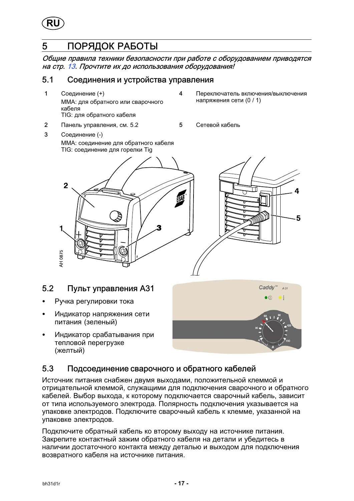<span id="page-16-0"></span>

# 5 ПОРЯДОК РАБОТЫ

Общие правила техники безопасности при работе с оборудованием приводятся на стр. [13](#page-12-0). Прочтите их до использования оборудования!

### 5.1 Соединения и устройства управления

- 1 Соединение (+) MMA: для обратного или сварочного кабеля ТIG: для обратного кабеля
- 2 Панель управления, см. 5.2 5 Сетевой кабель
- 3 Соединение (-) MMA: соединение для обратного кабеля ТIG: соединение для горелки Tig
- 4 Переключатель включения/выключения напряжения сети (0 / 1)
	-





# 5.2 Пульт управления A31

- -Ручка регулировки тока
- - Индикатор напряжения сети питания (зеленый)
- - Индикатор срабатывания при тепловой перегрузке (желтый)



# 5.3 Подсоединение сварочного и обратного кабелей

Источник питания снабжен двумя выходами, положительной клеммой и отрицательной клеммой, служащими для подключения сварочного и обратного кабелей. Выбор выхода, к которому подключается сварочный кабель, зависит от типа используемого электрода. Полярность подключения указывается на упаковке электродов. Подключите сварочный кабель к клемме, указанной на упаковке электродов.

Подключите обратный кабель ко второму выходу на источнике питания. Закрепите контактный зажим обратного кабеля на детали и убедитесь в наличии достаточного контакта между деталью и выходом для подключения возвратного кабеля на источнике питания.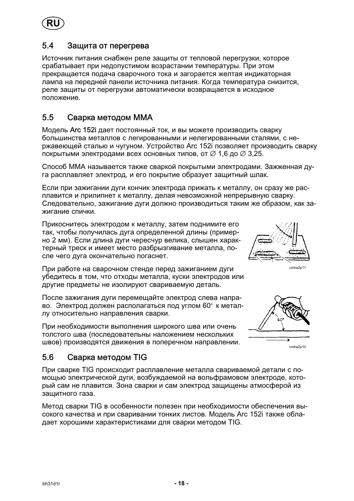<span id="page-17-0"></span>

### 5.4 Защита от перегрева

Источник питания снабжен реле защиты от тепловой перегрузки, которое срабатывает при недопустимом возрастании температуры. При этом прекращается подача сварочного тока и загорается желтая индикаторная лампа на передней панели источника питания. Когда температура снизится, реле защиты от перегрузки автоматически возвращается в исходное положение.

# 5.5 Сварка методом МMA

Модель Arc 152i дает постоянный ток, и вы можете производить сварку большинства металлов с легированными и нелегированными сталями, с нержавеющей сталью и чугуном. Устройство Arc 152i позволяет производить сварку покрытыми электродами всех основных типов, от  $\varnothing$  1,6 до  $\varnothing$  3,25.

Способ MMA называется также сваркой покрытыми электродами. Зажженная дуга расплавляет электрод, и его покрытие образует защитный шлак.

Если при зажигании дуги кончик электрода прижать к металлу, он сразу же расплавится и прилипнет к металлу, делая невозможной непрерывную сварку. Следовательно, зажигание дуги должно производиться таким же образом, как зажигание спички.

Прикоснитесь электродом к металлу, затем поднимите его так, чтобы получилась дуга определенной длины (примерно 2 мм). Если длина дуги чересчур велика, слышен характерный треск и имеет место разбрызгивание металла, после чего дуга окончательно погаснет.

При работе на сварочном стенде перед зажиганием дуги убедитесь в том, что отходы металла, куски электродов или другие предметы не изолируют свариваемую деталь.

После зажигания дуги перемещайте электрод слева направо. Электрод должен располагаться под углом 60° к металлу относительно направления сварки.

При необходимости выполнения широкого шва или очень толстого шва (последовательны наложением нескольких швов) производятся движения в поперечном направлении.



cmha2p11



cmha2p10

# 5.6 Сварка методом TIG

При сварке TIG происходит расплавление металла свариваемой детали с помощью электрической дуги, возбуждаемой на вольфрамовом электроде, который сам не плавится. Зона сварки и сам электрод защищены атмосферой из защитного газа.

Метод сварки TIG в особенности полезен при необходимости обеспечения высокого качества и при сваривании тонких листов. Модель Arc 152i также обладает хорошими характеристиками для сварки методом TIG.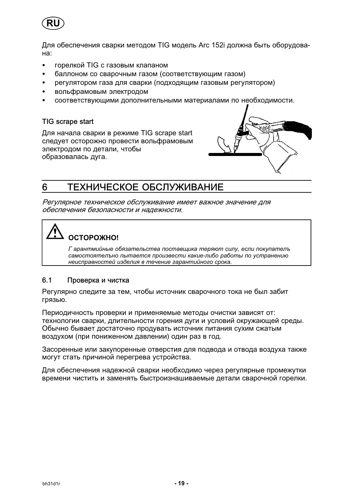<span id="page-18-0"></span>

Для обеспечения сварки методом TIG модель Arc 152i должна быть оборудована:

- горелкой TIG с газовым клапаном  $\bullet$
- баллоном со сварочным газом (соответствующим газом)
- регулятором газа для сварки (подходящим газовым регулятором)
- вольфрамовым электродом
- соответствующими дополнительными материалами по необходимости.

### TIG scrape start

Для начала сварки в режиме TIG scrape start следует осторожно провести вольфрамовым электродом по детали, чтобы образовалась дуга.



#### ТЕХНИЧЕСКОЕ ОБСЛУЖИВАНИЕ 6

Регулярное техническое обслуживание имеет важное значение для обеспечения безопасности и надежности.



Г арантмийные обязательства поставщика теряют силу, если покупатель самостоятельно пытается произвести какие-либо работы по устранению неисправностей изделия в течение гарантийного срока.

#### $6.1$ Проверка и чистка

Регулярно следите за тем, чтобы источник сварочного тока не был забит грязью.

Периодичность проверки и применяемые методы очистки зависят от: технологии сварки, длительности горения дуги и условий окружающей среды. Обычно бывает достаточно продувать источник питания сухим сжатым воздухом (при пониженном давлении) один раз в год.

Засоренные или закупоренные отверстия для подвода и отвода воздуха также могут стать причиной перегрева устройства.

Для обеспечения надежной сварки необходимо через регулярные промежутки времени чистить и заменять быстроизнашиваемые детали сварочной горелки.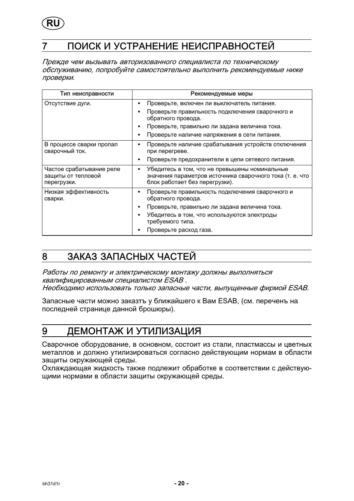<span id="page-19-0"></span>

# ПОИСК И УСТРАНЕНИЕ НЕИСПРАВНОСТЕЙ

Прежде чем вызывать авторизованного специалиста по техническому обслуживанию, попробуйте самостоятельно выполнить рекомендуемые ниже проверки.

| Тип неисправности                                             | Рекомендуемые меры                                                                                                                          |  |
|---------------------------------------------------------------|---------------------------------------------------------------------------------------------------------------------------------------------|--|
| Отсутствие дуги.                                              | Проверьте, включен ли выключатель питания.<br>٠                                                                                             |  |
|                                                               | Проверьте правильность подключения сварочного и<br>обратного провода.                                                                       |  |
|                                                               | Проверьте, правильно ли задана величина тока.                                                                                               |  |
|                                                               | Проверьте наличие напряжения в сети питания.                                                                                                |  |
| В процессе сварки пропал<br>сварочный ток.                    | Проверьте наличие срабатывания устройств отключения<br>при перегреве.                                                                       |  |
|                                                               | Проверьте предохранители в цепи сетевого питания.                                                                                           |  |
| Частое срабатывание реле<br>защиты от тепловой<br>перегрузки. | Убедитесь в том, что не превышены номинальные<br>значения параметров источника сварочного тока (т. е. что<br>блок работает без перегрузки). |  |
| Низкая эффективность<br>сварки.                               | Проверьте правильность подключения сварочного и<br>обратного провода.                                                                       |  |
|                                                               | Проверьте, правильно ли задана величина тока.                                                                                               |  |
|                                                               | Убедитесь в том, что используются электроды<br>требуемого типа.                                                                             |  |
|                                                               | Проверьте расход газа.                                                                                                                      |  |

#### ЗАКАЗ ЗАПАСНЫХ ЧАСТЕЙ 8

Работы по ремонту и электрическому монтажу должны выполняться квалифицированным специалистом ESAB. Необходимо использовать только запасные части, выпущенные фирмой ESAB.

Запасные части можно заказтъ у ближайшего к Вам ESAB, (см. переченъ на последней странице данной брошюры).

#### ДЕМОНТАЖ И УТИЛИЗАЦИЯ 9

Сварочное оборудование, в основном, состоит из стали, пластмассы и цветных металлов и должно утилизироваться согласно действующим нормам в области защиты окружающей среды.

Охлаждающая жидкость также подлежит обработке в соответствии с действующими нормами в области защиты окружающей среды.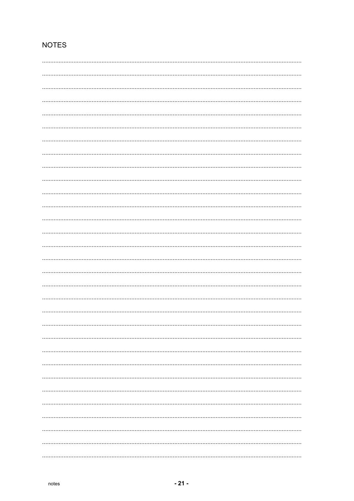# **NOTES**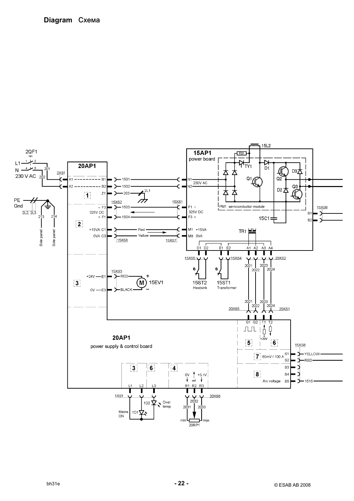### <span id="page-21-0"></span>Diagram Cxema

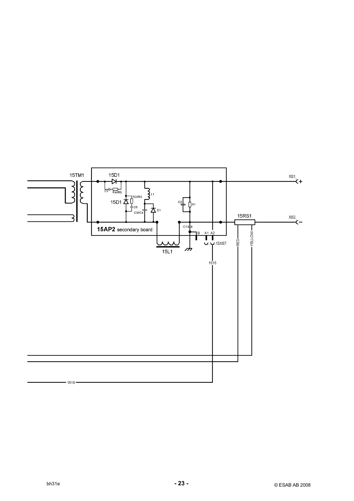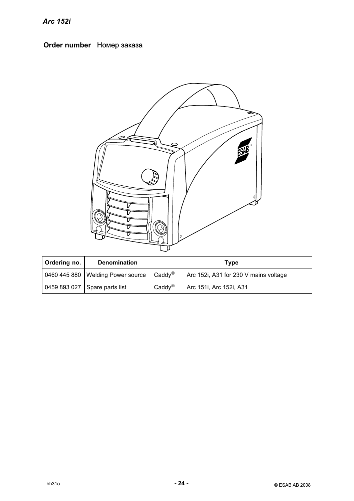# <span id="page-23-0"></span>Order number Номер заказа



| Ordering no. | <b>Denomination</b>                                      |                                         | Tvpe                                  |
|--------------|----------------------------------------------------------|-----------------------------------------|---------------------------------------|
|              | 0460 445 880   Welding Power source   Caddy <sup>®</sup> |                                         | Arc 152i, A31 for 230 V mains voltage |
|              | 0459 893 027 Spare parts list                            | $C{\mathsf{add}}\mathsf{y}^{\circledR}$ | Arc 151i, Arc 152i, A31               |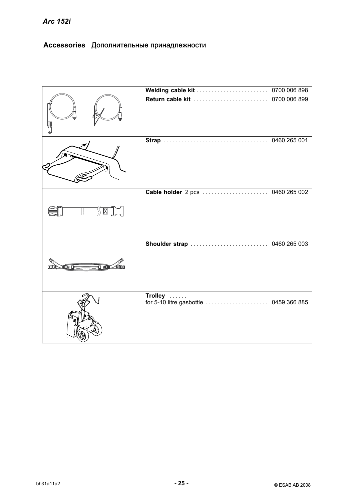# <span id="page-24-0"></span>Accessories Дополнительные принадлежности

|                             | Welding cable kit  0700 006 898                   |              |
|-----------------------------|---------------------------------------------------|--------------|
|                             | Return cable kit  0700 006 899                    |              |
|                             |                                                   | 0460 265 001 |
|                             | Cable holder 2 pcs  0460 265 002                  |              |
| 有風血<br><b>TOM DE</b><br>min |                                                   |              |
|                             | Trolley<br>for 5-10 litre gasbottle  0459 366 885 |              |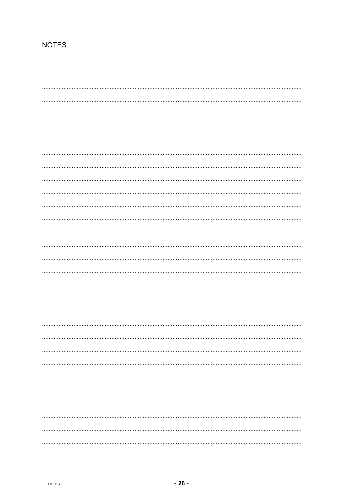# **NOTES**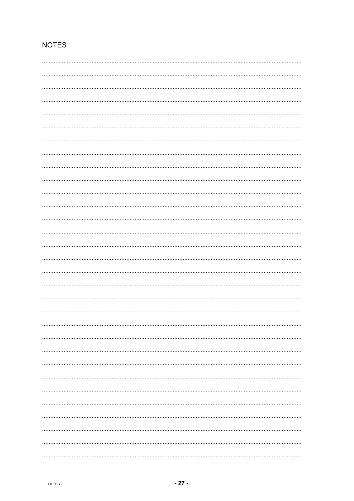# **NOTES**